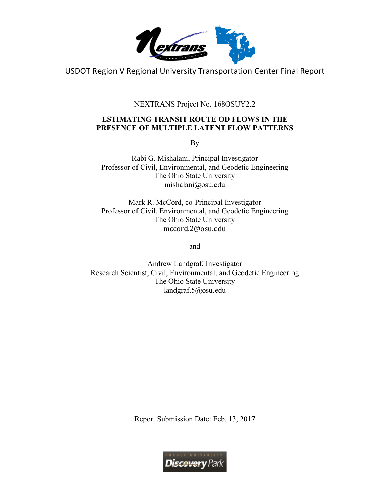

USDOT Region V Regional University Transportation Center Final Report

NEXTRANS Project No. 168OSUY2.2

# **ESTIMATING TRANSIT ROUTE OD FLOWS IN THE PRESENCE OF MULTIPLE LATENT FLOW PATTERNS**

By

Rabi G. Mishalani, Principal Investigator Professor of Civil, Environmental, and Geodetic Engineering The Ohio State University mishalani@osu.edu

Mark R. McCord, co-Principal Investigator Professor of Civil, Environmental, and Geodetic Engineering The Ohio State University mccord.2@osu.edu

and

Andrew Landgraf, Investigator Research Scientist, Civil, Environmental, and Geodetic Engineering The Ohio State University landgraf.5@osu.edu

Report Submission Date: Feb. 13, 2017

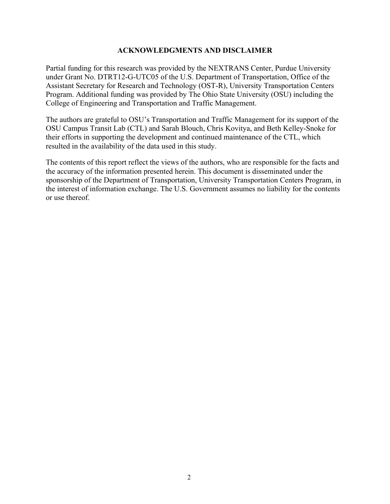#### **ACKNOWLEDGMENTS AND DISCLAIMER**

Partial funding for this research was provided by the NEXTRANS Center, Purdue University under Grant No. DTRT12-G-UTC05 of the U.S. Department of Transportation, Office of the Assistant Secretary for Research and Technology (OST-R), University Transportation Centers Program. Additional funding was provided by The Ohio State University (OSU) including the College of Engineering and Transportation and Traffic Management.

The authors are grateful to OSU's Transportation and Traffic Management for its support of the OSU Campus Transit Lab (CTL) and Sarah Blouch, Chris Kovitya, and Beth Kelley-Snoke for their efforts in supporting the development and continued maintenance of the CTL, which resulted in the availability of the data used in this study.

The contents of this report reflect the views of the authors, who are responsible for the facts and the accuracy of the information presented herein. This document is disseminated under the sponsorship of the Department of Transportation, University Transportation Centers Program, in the interest of information exchange. The U.S. Government assumes no liability for the contents or use thereof.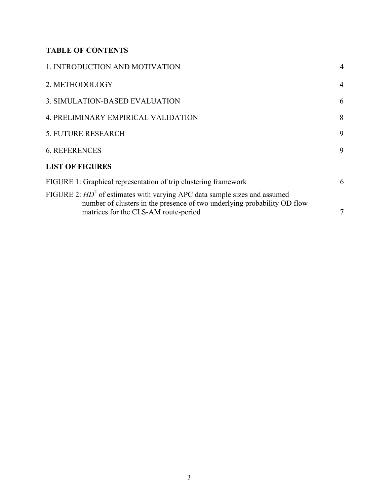# **TABLE OF CONTENTS**

| 1. INTRODUCTION AND MOTIVATION                                                                                                                                                                   | $\overline{4}$ |
|--------------------------------------------------------------------------------------------------------------------------------------------------------------------------------------------------|----------------|
| 2. METHODOLOGY                                                                                                                                                                                   | $\overline{4}$ |
| 3. SIMULATION-BASED EVALUATION                                                                                                                                                                   | 6              |
| 4. PRELIMINARY EMPIRICAL VALIDATION                                                                                                                                                              | 8              |
| <b>5. FUTURE RESEARCH</b>                                                                                                                                                                        | 9              |
| <b>6. REFERENCES</b>                                                                                                                                                                             | 9              |
| <b>LIST OF FIGURES</b>                                                                                                                                                                           |                |
| FIGURE 1: Graphical representation of trip clustering framework                                                                                                                                  | 6              |
| FIGURE 2: $HD^2$ of estimates with varying APC data sample sizes and assumed<br>number of clusters in the presence of two underlying probability OD flow<br>matrices for the CLS-AM route-period | $\tau$         |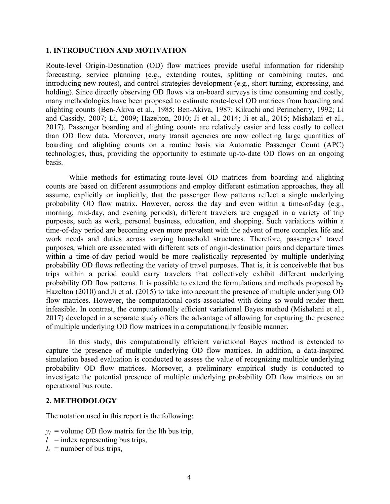#### **1. INTRODUCTION AND MOTIVATION**

Route-level Origin-Destination (OD) flow matrices provide useful information for ridership forecasting, service planning (e.g., extending routes, splitting or combining routes, and introducing new routes), and control strategies development (e.g., short turning, expressing, and holding). Since directly observing OD flows via on-board surveys is time consuming and costly, many methodologies have been proposed to estimate route-level OD matrices from boarding and alighting counts (Ben-Akiva et al., 1985; Ben-Akiva, 1987; Kikuchi and Perincherry, 1992; Li and Cassidy, 2007; Li, 2009; Hazelton, 2010; Ji et al., 2014; Ji et al., 2015; Mishalani et al., 2017). Passenger boarding and alighting counts are relatively easier and less costly to collect than OD flow data. Moreover, many transit agencies are now collecting large quantities of boarding and alighting counts on a routine basis via Automatic Passenger Count (APC) technologies, thus, providing the opportunity to estimate up-to-date OD flows on an ongoing basis.

While methods for estimating route-level OD matrices from boarding and alighting counts are based on different assumptions and employ different estimation approaches, they all assume, explicitly or implicitly, that the passenger flow patterns reflect a single underlying probability OD flow matrix. However, across the day and even within a time-of-day (e.g., morning, mid-day, and evening periods), different travelers are engaged in a variety of trip purposes, such as work, personal business, education, and shopping. Such variations within a time-of-day period are becoming even more prevalent with the advent of more complex life and work needs and duties across varying household structures. Therefore, passengers' travel purposes, which are associated with different sets of origin-destination pairs and departure times within a time-of-day period would be more realistically represented by multiple underlying probability OD flows reflecting the variety of travel purposes. That is, it is conceivable that bus trips within a period could carry travelers that collectively exhibit different underlying probability OD flow patterns. It is possible to extend the formulations and methods proposed by Hazelton (2010) and Ji et al. (2015) to take into account the presence of multiple underlying OD flow matrices. However, the computational costs associated with doing so would render them infeasible. In contrast, the computationally efficient variational Bayes method (Mishalani et al., 2017) developed in a separate study offers the advantage of allowing for capturing the presence of multiple underlying OD flow matrices in a computationally feasible manner.

In this study, this computationally efficient variational Bayes method is extended to capture the presence of multiple underlying OD flow matrices. In addition, a data-inspired simulation based evaluation is conducted to assess the value of recognizing multiple underlying probability OD flow matrices. Moreover, a preliminary empirical study is conducted to investigate the potential presence of multiple underlying probability OD flow matrices on an operational bus route.

#### **2. METHODOLOGY**

The notation used in this report is the following:

- $y_l$  = volume OD flow matrix for the lth bus trip,
- $l =$  index representing bus trips,
- $L =$  number of bus trips,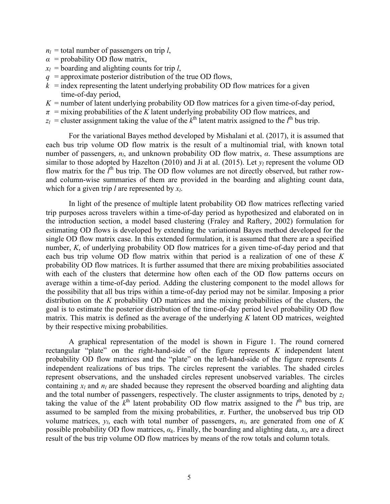- $n_l$  = total number of passengers on trip *l*,
- $\alpha$  = probability OD flow matrix,
- $x_l$  = boarding and alighting counts for trip *l*,
- $q =$  approximate posterior distribution of the true OD flows,
- $k =$  index representing the latent underlying probability OD flow matrices for a given time-of-day period,
- $K =$  number of latent underlying probability OD flow matrices for a given time-of-day period,
- $\pi$  = mixing probabilities of the *K* latent underlying probability OD flow matrices, and
- $z_l$  = cluster assignment taking the value of the  $k^{\text{th}}$  latent matrix assigned to the  $l^{\text{th}}$  bus trip.

For the variational Bayes method developed by Mishalani et al. (2017), it is assumed that each bus trip volume OD flow matrix is the result of a multinomial trial, with known total number of passengers, *nl*, and unknown probability OD flow matrix, *α*. These assumptions are similar to those adopted by Hazelton (2010) and Ji at al. (2015). Let *yl* represent the volume OD flow matrix for the  $l^{\text{th}}$  bus trip. The OD flow volumes are not directly observed, but rather rowand column-wise summaries of them are provided in the boarding and alighting count data, which for a given trip *l* are represented by *xl*.

In light of the presence of multiple latent probability OD flow matrices reflecting varied trip purposes across travelers within a time-of-day period as hypothesized and elaborated on in the introduction section, a model based clustering (Fraley and Raftery, 2002) formulation for estimating OD flows is developed by extending the variational Bayes method developed for the single OD flow matrix case. In this extended formulation, it is assumed that there are a specified number, *K*, of underlying probability OD flow matrices for a given time-of-day period and that each bus trip volume OD flow matrix within that period is a realization of one of these *K* probability OD flow matrices. It is further assumed that there are mixing probabilities associated with each of the clusters that determine how often each of the OD flow patterns occurs on average within a time-of-day period. Adding the clustering component to the model allows for the possibility that all bus trips within a time-of-day period may not be similar. Imposing a prior distribution on the *K* probability OD matrices and the mixing probabilities of the clusters, the goal is to estimate the posterior distribution of the time-of-day period level probability OD flow matrix. This matrix is defined as the average of the underlying *K* latent OD matrices, weighted by their respective mixing probabilities.

A graphical representation of the model is shown in Figure 1. The round cornered rectangular "plate" on the right-hand-side of the figure represents *K* independent latent probability OD flow matrices and the "plate" on the left-hand-side of the figure represents *L* independent realizations of bus trips. The circles represent the variables. The shaded circles represent observations, and the unshaded circles represent unobserved variables. The circles containing  $x_l$  and  $n_l$  are shaded because they represent the observed boarding and alighting data and the total number of passengers, respectively. The cluster assignments to trips, denoted by *zl* taking the value of the  $k^{\text{th}}$  latent probability OD flow matrix assigned to the  $l^{\text{th}}$  bus trip, are assumed to be sampled from the mixing probabilities,  $\pi$ . Further, the unobserved bus trip OD volume matrices,  $y_l$ , each with total number of passengers,  $n_l$ , are generated from one of K possible probability OD flow matrices,  $a_k$ . Finally, the boarding and alighting data,  $x_l$ , are a direct result of the bus trip volume OD flow matrices by means of the row totals and column totals.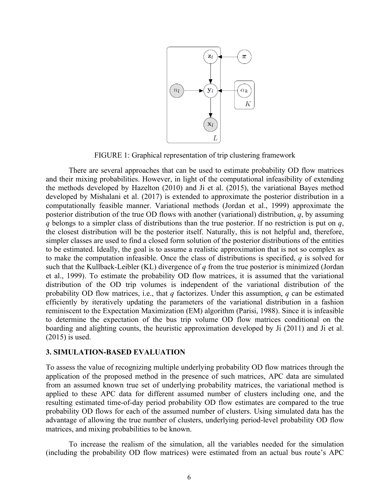

FIGURE 1: Graphical representation of trip clustering framework

There are several approaches that can be used to estimate probability OD flow matrices and their mixing probabilities. However, in light of the computational infeasibility of extending the methods developed by Hazelton (2010) and Ji et al. (2015), the variational Bayes method developed by Mishalani et al. (2017) is extended to approximate the posterior distribution in a computationally feasible manner. Variational methods (Jordan et al., 1999) approximate the posterior distribution of the true OD flows with another (variational) distribution, *q*, by assuming *q* belongs to a simpler class of distributions than the true posterior. If no restriction is put on *q*, the closest distribution will be the posterior itself. Naturally, this is not helpful and, therefore, simpler classes are used to find a closed form solution of the posterior distributions of the entities to be estimated. Ideally, the goal is to assume a realistic approximation that is not so complex as to make the computation infeasible. Once the class of distributions is specified, *q* is solved for such that the Kullback-Leibler (KL) divergence of *q* from the true posterior is minimized (Jordan et al., 1999). To estimate the probability OD flow matrices, it is assumed that the variational distribution of the OD trip volumes is independent of the variational distribution of the probability OD flow matrices, i.e., that *q* factorizes. Under this assumption, *q* can be estimated efficiently by iteratively updating the parameters of the variational distribution in a fashion reminiscent to the Expectation Maximization (EM) algorithm (Parisi, 1988). Since it is infeasible to determine the expectation of the bus trip volume OD flow matrices conditional on the boarding and alighting counts, the heuristic approximation developed by Ji (2011) and Ji et al. (2015) is used.

## **3. SIMULATION-BASED EVALUATION**

To assess the value of recognizing multiple underlying probability OD flow matrices through the application of the proposed method in the presence of such matrices, APC data are simulated from an assumed known true set of underlying probability matrices, the variational method is applied to these APC data for different assumed number of clusters including one, and the resulting estimated time-of-day period probability OD flow estimates are compared to the true probability OD flows for each of the assumed number of clusters. Using simulated data has the advantage of allowing the true number of clusters, underlying period-level probability OD flow matrices, and mixing probabilities to be known.

To increase the realism of the simulation, all the variables needed for the simulation (including the probability OD flow matrices) were estimated from an actual bus route's APC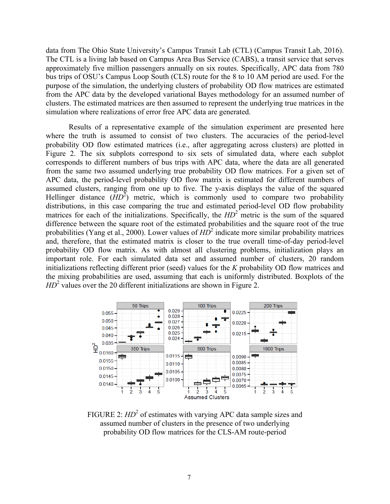data from The Ohio State University's Campus Transit Lab (CTL) (Campus Transit Lab, 2016). The CTL is a living lab based on Campus Area Bus Service (CABS), a transit service that serves approximately five million passengers annually on six routes. Specifically, APC data from 780 bus trips of OSU's Campus Loop South (CLS) route for the 8 to 10 AM period are used. For the purpose of the simulation, the underlying clusters of probability OD flow matrices are estimated from the APC data by the developed variational Bayes methodology for an assumed number of clusters. The estimated matrices are then assumed to represent the underlying true matrices in the simulation where realizations of error free APC data are generated.

Results of a representative example of the simulation experiment are presented here where the truth is assumed to consist of two clusters. The accuracies of the period-level probability OD flow estimated matrices (i.e., after aggregating across clusters) are plotted in Figure 2. The six subplots correspond to six sets of simulated data, where each subplot corresponds to different numbers of bus trips with APC data, where the data are all generated from the same two assumed underlying true probability OD flow matrices. For a given set of APC data, the period-level probability OD flow matrix is estimated for different numbers of assumed clusters, ranging from one up to five. The y-axis displays the value of the squared Hellinger distance  $(HD^2)$  metric, which is commonly used to compare two probability distributions, in this case comparing the true and estimated period-level OD flow probability matrices for each of the initializations. Specifically, the  $HD<sup>2</sup>$  metric is the sum of the squared difference between the square root of the estimated probabilities and the square root of the true probabilities (Yang et al., 2000). Lower values of  $HD^2$  indicate more similar probability matrices and, therefore, that the estimated matrix is closer to the true overall time-of-day period-level probability OD flow matrix. As with almost all clustering problems, initialization plays an important role. For each simulated data set and assumed number of clusters, 20 random initializations reflecting different prior (seed) values for the *K* probability OD flow matrices and the mixing probabilities are used, assuming that each is uniformly distributed. Boxplots of the  $HD<sup>2</sup>$  values over the 20 different initializations are shown in Figure 2.



FIGURE 2: *HD*<sup>2</sup> of estimates with varying APC data sample sizes and assumed number of clusters in the presence of two underlying probability OD flow matrices for the CLS-AM route-period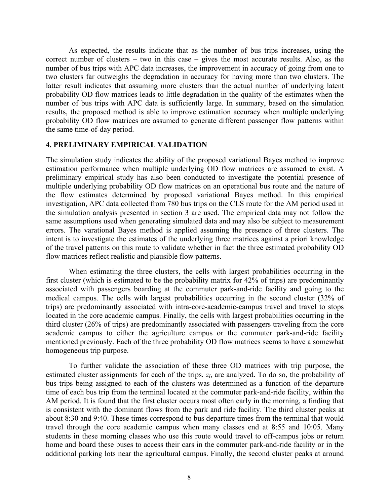As expected, the results indicate that as the number of bus trips increases, using the correct number of clusters – two in this case – gives the most accurate results. Also, as the number of bus trips with APC data increases, the improvement in accuracy of going from one to two clusters far outweighs the degradation in accuracy for having more than two clusters. The latter result indicates that assuming more clusters than the actual number of underlying latent probability OD flow matrices leads to little degradation in the quality of the estimates when the number of bus trips with APC data is sufficiently large. In summary, based on the simulation results, the proposed method is able to improve estimation accuracy when multiple underlying probability OD flow matrices are assumed to generate different passenger flow patterns within the same time-of-day period.

#### **4. PRELIMINARY EMPIRICAL VALIDATION**

The simulation study indicates the ability of the proposed variational Bayes method to improve estimation performance when multiple underlying OD flow matrices are assumed to exist. A preliminary empirical study has also been conducted to investigate the potential presence of multiple underlying probability OD flow matrices on an operational bus route and the nature of the flow estimates determined by proposed variational Bayes method. In this empirical investigation, APC data collected from 780 bus trips on the CLS route for the AM period used in the simulation analysis presented in section 3 are used. The empirical data may not follow the same assumptions used when generating simulated data and may also be subject to measurement errors. The varational Bayes method is applied assuming the presence of three clusters. The intent is to investigate the estimates of the underlying three matrices against a priori knowledge of the travel patterns on this route to validate whether in fact the three estimated probability OD flow matrices reflect realistic and plausible flow patterns.

When estimating the three clusters, the cells with largest probabilities occurring in the first cluster (which is estimated to be the probability matrix for 42% of trips) are predominantly associated with passengers boarding at the commuter park-and-ride facility and going to the medical campus. The cells with largest probabilities occurring in the second cluster (32% of trips) are predominantly associated with intra-core-academic-campus travel and travel to stops located in the core academic campus. Finally, the cells with largest probabilities occurring in the third cluster (26% of trips) are predominantly associated with passengers traveling from the core academic campus to either the agriculture campus or the commuter park-and-ride facility mentioned previously. Each of the three probability OD flow matrices seems to have a somewhat homogeneous trip purpose.

To further validate the association of these three OD matrices with trip purpose, the estimated cluster assignments for each of the trips,  $z_l$ , are analyzed. To do so, the probability of bus trips being assigned to each of the clusters was determined as a function of the departure time of each bus trip from the terminal located at the commuter park-and-ride facility, within the AM period. It is found that the first cluster occurs most often early in the morning, a finding that is consistent with the dominant flows from the park and ride facility. The third cluster peaks at about 8:30 and 9:40. These times correspond to bus departure times from the terminal that would travel through the core academic campus when many classes end at 8:55 and 10:05. Many students in these morning classes who use this route would travel to off-campus jobs or return home and board these buses to access their cars in the commuter park-and-ride facility or in the additional parking lots near the agricultural campus. Finally, the second cluster peaks at around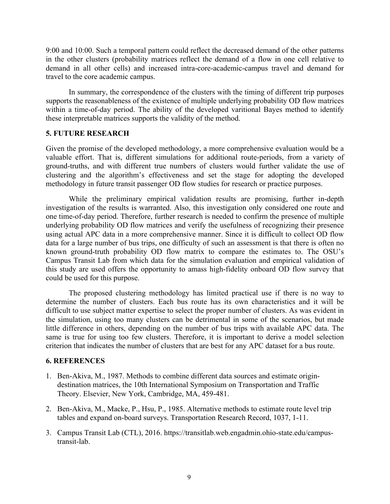9:00 and 10:00. Such a temporal pattern could reflect the decreased demand of the other patterns in the other clusters (probability matrices reflect the demand of a flow in one cell relative to demand in all other cells) and increased intra-core-academic-campus travel and demand for travel to the core academic campus.

In summary, the correspondence of the clusters with the timing of different trip purposes supports the reasonableness of the existence of multiple underlying probability OD flow matrices within a time-of-day period. The ability of the developed varitional Bayes method to identify these interpretable matrices supports the validity of the method.

## **5. FUTURE RESEARCH**

Given the promise of the developed methodology, a more comprehensive evaluation would be a valuable effort. That is, different simulations for additional route-periods, from a variety of ground-truths, and with different true numbers of clusters would further validate the use of clustering and the algorithm's effectiveness and set the stage for adopting the developed methodology in future transit passenger OD flow studies for research or practice purposes.

While the preliminary empirical validation results are promising, further in-depth investigation of the results is warranted. Also, this investigation only considered one route and one time-of-day period. Therefore, further research is needed to confirm the presence of multiple underlying probability OD flow matrices and verify the usefulness of recognizing their presence using actual APC data in a more comprehensive manner. Since it is difficult to collect OD flow data for a large number of bus trips, one difficulty of such an assessment is that there is often no known ground-truth probability OD flow matrix to compare the estimates to. The OSU's Campus Transit Lab from which data for the simulation evaluation and empirical validation of this study are used offers the opportunity to amass high-fidelity onboard OD flow survey that could be used for this purpose.

The proposed clustering methodology has limited practical use if there is no way to determine the number of clusters. Each bus route has its own characteristics and it will be difficult to use subject matter expertise to select the proper number of clusters. As was evident in the simulation, using too many clusters can be detrimental in some of the scenarios, but made little difference in others, depending on the number of bus trips with available APC data. The same is true for using too few clusters. Therefore, it is important to derive a model selection criterion that indicates the number of clusters that are best for any APC dataset for a bus route.

#### **6. REFERENCES**

- 1. Ben-Akiva, M., 1987. Methods to combine different data sources and estimate origindestination matrices, the 10th International Symposium on Transportation and Traffic Theory. Elsevier, New York, Cambridge, MA, 459-481.
- 2. Ben-Akiva, M., Macke, P., Hsu, P., 1985. Alternative methods to estimate route level trip tables and expand on-board surveys. Transportation Research Record, 1037, 1-11.
- 3. Campus Transit Lab (CTL), 2016. https://transitlab.web.engadmin.ohio-state.edu/campustransit-lab.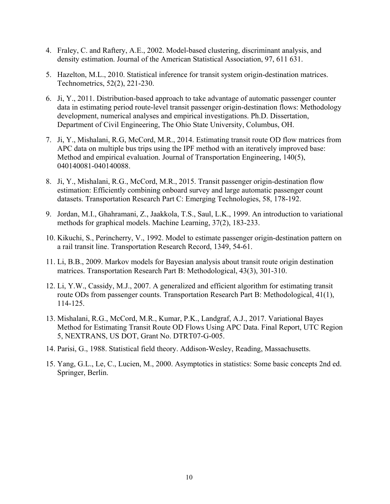- 4. Fraley, C. and Raftery, A.E., 2002. Model-based clustering, discriminant analysis, and density estimation. Journal of the American Statistical Association, 97, 611 631.
- 5. Hazelton, M.L., 2010. Statistical inference for transit system origin-destination matrices. Technometrics, 52(2), 221-230.
- 6. Ji, Y., 2011. Distribution-based approach to take advantage of automatic passenger counter data in estimating period route-level transit passenger origin-destination flows: Methodology development, numerical analyses and empirical investigations. Ph.D. Dissertation, Department of Civil Engineering, The Ohio State University, Columbus, OH.
- 7. Ji, Y., Mishalani, R.G, McCord, M.R., 2014. Estimating transit route OD flow matrices from APC data on multiple bus trips using the IPF method with an iteratively improved base: Method and empirical evaluation. Journal of Transportation Engineering, 140(5), 040140081-040140088.
- 8. Ji, Y., Mishalani, R.G., McCord, M.R., 2015. Transit passenger origin-destination flow estimation: Efficiently combining onboard survey and large automatic passenger count datasets. Transportation Research Part C: Emerging Technologies, 58, 178-192.
- 9. Jordan, M.I., Ghahramani, Z., Jaakkola, T.S., Saul, L.K., 1999. An introduction to variational methods for graphical models. Machine Learning, 37(2), 183-233.
- 10. Kikuchi, S., Perincherry, V., 1992. Model to estimate passenger origin-destination pattern on a rail transit line. Transportation Research Record, 1349, 54-61.
- 11. Li, B.B., 2009. Markov models for Bayesian analysis about transit route origin destination matrices. Transportation Research Part B: Methodological, 43(3), 301-310.
- 12. Li, Y.W., Cassidy, M.J., 2007. A generalized and efficient algorithm for estimating transit route ODs from passenger counts. Transportation Research Part B: Methodological, 41(1), 114-125.
- 13. Mishalani, R.G., McCord, M.R., Kumar, P.K., Landgraf, A.J., 2017. Variational Bayes Method for Estimating Transit Route OD Flows Using APC Data. Final Report, UTC Region 5, NEXTRANS, US DOT, Grant No. DTRT07-G-005.
- 14. Parisi, G., 1988. Statistical field theory. Addison-Wesley, Reading, Massachusetts.
- 15. Yang, G.L., Le, C., Lucien, M., 2000. Asymptotics in statistics: Some basic concepts 2nd ed. Springer, Berlin.